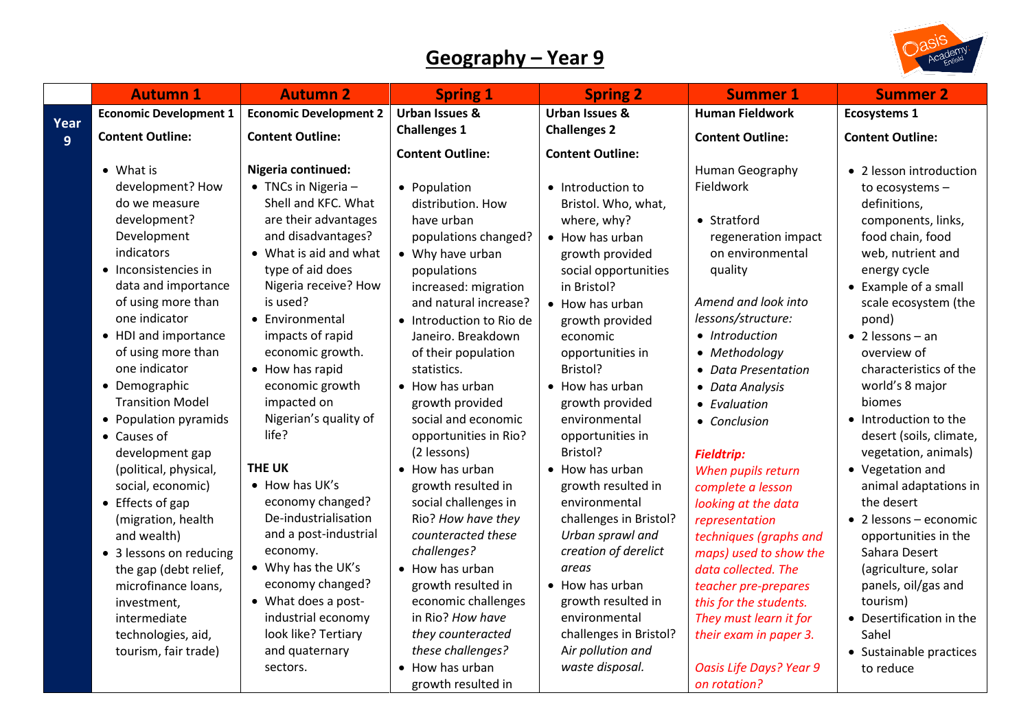## **Geography – Year 9**



|      | <b>Autumn 1</b>                          | <b>Autumn 2</b>                                    | <b>Spring 1</b>                        | <b>Spring 2</b>                    | <b>Summer 1</b>                                | <b>Summer 2</b>                            |
|------|------------------------------------------|----------------------------------------------------|----------------------------------------|------------------------------------|------------------------------------------------|--------------------------------------------|
| Year | <b>Economic Development 1</b>            | <b>Economic Development 2</b>                      | <b>Urban Issues &amp;</b>              | <b>Urban Issues &amp;</b>          | <b>Human Fieldwork</b>                         | <b>Ecosystems 1</b>                        |
| 9    | <b>Content Outline:</b>                  | <b>Content Outline:</b>                            | <b>Challenges 1</b>                    | <b>Challenges 2</b>                | <b>Content Outline:</b>                        | <b>Content Outline:</b>                    |
|      |                                          |                                                    | <b>Content Outline:</b>                | <b>Content Outline:</b>            |                                                |                                            |
|      | • What is                                | Nigeria continued:                                 |                                        |                                    | Human Geography                                | • 2 lesson introduction                    |
|      | development? How                         | $\bullet$ TNCs in Nigeria -<br>Shell and KFC. What | • Population                           | • Introduction to                  | Fieldwork                                      | to ecosystems -                            |
|      | do we measure<br>development?            | are their advantages                               | distribution. How<br>have urban        | Bristol. Who, what,<br>where, why? | • Stratford                                    | definitions,                               |
|      | Development                              | and disadvantages?                                 | populations changed?                   | • How has urban                    | regeneration impact                            | components, links,<br>food chain, food     |
|      | indicators                               | • What is aid and what                             | • Why have urban                       | growth provided                    | on environmental                               | web, nutrient and                          |
|      | • Inconsistencies in                     | type of aid does                                   | populations                            | social opportunities               | quality                                        | energy cycle                               |
|      | data and importance                      | Nigeria receive? How                               | increased: migration                   | in Bristol?                        |                                                | • Example of a small                       |
|      | of using more than                       | is used?                                           | and natural increase?                  | • How has urban                    | Amend and look into                            | scale ecosystem (the                       |
|      | one indicator                            | • Environmental                                    | • Introduction to Rio de               | growth provided                    | lessons/structure:                             | pond)                                      |
|      | • HDI and importance                     | impacts of rapid                                   | Janeiro. Breakdown                     | economic                           | • Introduction                                 | $\bullet$ 2 lessons - an                   |
|      | of using more than                       | economic growth.                                   | of their population                    | opportunities in                   | • Methodology                                  | overview of                                |
|      | one indicator                            | • How has rapid                                    | statistics.                            | Bristol?                           | <b>Data Presentation</b>                       | characteristics of the                     |
|      | • Demographic<br><b>Transition Model</b> | economic growth                                    | • How has urban                        | • How has urban                    | • Data Analysis                                | world's 8 major                            |
|      | • Population pyramids                    | impacted on<br>Nigerian's quality of               | growth provided<br>social and economic | growth provided<br>environmental   | • Evaluation                                   | biomes<br>• Introduction to the            |
|      | • Causes of                              | life?                                              | opportunities in Rio?                  | opportunities in                   | • Conclusion                                   | desert (soils, climate,                    |
|      | development gap                          |                                                    | (2 lessons)                            | Bristol?                           | <b>Fieldtrip:</b>                              | vegetation, animals)                       |
|      | (political, physical,                    | <b>THE UK</b>                                      | • How has urban                        | • How has urban                    | When pupils return                             | • Vegetation and                           |
|      | social, economic)                        | • How has UK's                                     | growth resulted in                     | growth resulted in                 | complete a lesson                              | animal adaptations in                      |
|      | $\bullet$ Effects of gap                 | economy changed?                                   | social challenges in                   | environmental                      | looking at the data                            | the desert                                 |
|      | (migration, health                       | De-industrialisation                               | Rio? How have they                     | challenges in Bristol?             | representation                                 | $\bullet$ 2 lessons - economic             |
|      | and wealth)                              | and a post-industrial                              | counteracted these                     | Urban sprawl and                   | techniques (graphs and                         | opportunities in the                       |
|      | • 3 lessons on reducing                  | economy.                                           | challenges?                            | creation of derelict               | maps) used to show the                         | Sahara Desert                              |
|      | the gap (debt relief,                    | • Why has the UK's<br>economy changed?             | • How has urban<br>growth resulted in  | areas<br>• How has urban           | data collected. The                            | (agriculture, solar<br>panels, oil/gas and |
|      | microfinance loans,<br>investment,       | • What does a post-                                | economic challenges                    | growth resulted in                 | teacher pre-prepares<br>this for the students. | tourism)                                   |
|      | intermediate                             | industrial economy                                 | in Rio? How have                       | environmental                      | They must learn it for                         | • Desertification in the                   |
|      | technologies, aid,                       | look like? Tertiary                                | they counteracted                      | challenges in Bristol?             | their exam in paper 3.                         | Sahel                                      |
|      | tourism, fair trade)                     | and quaternary                                     | these challenges?                      | Air pollution and                  |                                                | • Sustainable practices                    |
|      |                                          | sectors.                                           | • How has urban                        | waste disposal.                    | <b>Oasis Life Days? Year 9</b>                 | to reduce                                  |
|      |                                          |                                                    | growth resulted in                     |                                    | on rotation?                                   |                                            |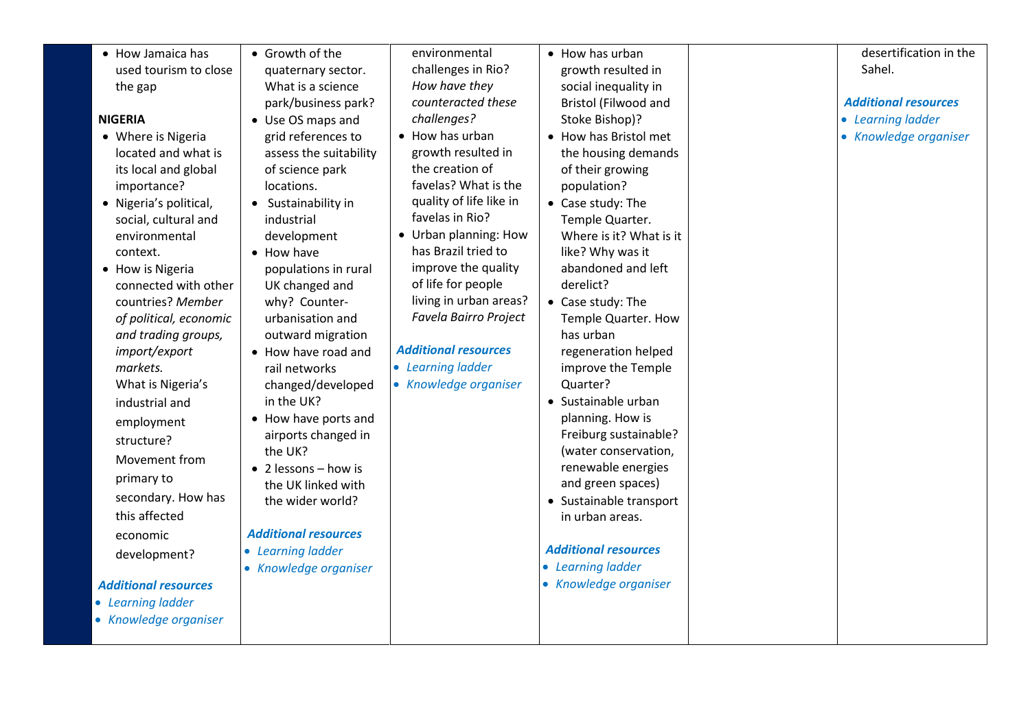| Sahel.<br>challenges in Rio?<br>used tourism to close<br>growth resulted in<br>quaternary sector.<br>How have they<br>What is a science<br>social inequality in<br>the gap<br>park/business park?<br>counteracted these<br><b>Bristol (Filwood and</b><br><b>Additional resources</b><br>challenges?<br><b>NIGERIA</b><br>Stoke Bishop)?<br>• Learning ladder<br>• Use OS maps and<br>• How has urban<br>• How has Bristol met<br>• Where is Nigeria<br>grid references to<br>growth resulted in<br>the housing demands<br>located and what is<br>assess the suitability<br>the creation of<br>its local and global<br>of science park<br>of their growing<br>favelas? What is the<br>importance?<br>locations.<br>population?<br>quality of life like in<br>• Nigeria's political,<br>• Case study: The<br>• Sustainability in<br>favelas in Rio?<br>social, cultural and<br>industrial<br>Temple Quarter.<br>• Urban planning: How<br>Where is it? What is it<br>environmental<br>development<br>has Brazil tried to<br>like? Why was it<br>context.<br>• How have<br>improve the quality<br>abandoned and left<br>populations in rural<br>• How is Nigeria<br>of life for people<br>derelict?<br>connected with other<br>UK changed and<br>living in urban areas?<br>why? Counter-<br>countries? Member<br>• Case study: The<br>Favela Bairro Project<br>of political, economic<br>urbanisation and<br>Temple Quarter. How<br>and trading groups,<br>outward migration<br>has urban<br><b>Additional resources</b><br>import/export<br>regeneration helped<br>• How have road and | • How Jamaica has | • Growth of the | environmental | • How has urban | desertification in the |
|--------------------------------------------------------------------------------------------------------------------------------------------------------------------------------------------------------------------------------------------------------------------------------------------------------------------------------------------------------------------------------------------------------------------------------------------------------------------------------------------------------------------------------------------------------------------------------------------------------------------------------------------------------------------------------------------------------------------------------------------------------------------------------------------------------------------------------------------------------------------------------------------------------------------------------------------------------------------------------------------------------------------------------------------------------------------------------------------------------------------------------------------------------------------------------------------------------------------------------------------------------------------------------------------------------------------------------------------------------------------------------------------------------------------------------------------------------------------------------------------------------------------------------------------------------------------------------------|-------------------|-----------------|---------------|-----------------|------------------------|
|                                                                                                                                                                                                                                                                                                                                                                                                                                                                                                                                                                                                                                                                                                                                                                                                                                                                                                                                                                                                                                                                                                                                                                                                                                                                                                                                                                                                                                                                                                                                                                                      |                   |                 |               |                 |                        |
|                                                                                                                                                                                                                                                                                                                                                                                                                                                                                                                                                                                                                                                                                                                                                                                                                                                                                                                                                                                                                                                                                                                                                                                                                                                                                                                                                                                                                                                                                                                                                                                      |                   |                 |               |                 |                        |
|                                                                                                                                                                                                                                                                                                                                                                                                                                                                                                                                                                                                                                                                                                                                                                                                                                                                                                                                                                                                                                                                                                                                                                                                                                                                                                                                                                                                                                                                                                                                                                                      |                   |                 |               |                 |                        |
|                                                                                                                                                                                                                                                                                                                                                                                                                                                                                                                                                                                                                                                                                                                                                                                                                                                                                                                                                                                                                                                                                                                                                                                                                                                                                                                                                                                                                                                                                                                                                                                      |                   |                 |               |                 |                        |
|                                                                                                                                                                                                                                                                                                                                                                                                                                                                                                                                                                                                                                                                                                                                                                                                                                                                                                                                                                                                                                                                                                                                                                                                                                                                                                                                                                                                                                                                                                                                                                                      |                   |                 |               |                 | • Knowledge organiser  |
|                                                                                                                                                                                                                                                                                                                                                                                                                                                                                                                                                                                                                                                                                                                                                                                                                                                                                                                                                                                                                                                                                                                                                                                                                                                                                                                                                                                                                                                                                                                                                                                      |                   |                 |               |                 |                        |
|                                                                                                                                                                                                                                                                                                                                                                                                                                                                                                                                                                                                                                                                                                                                                                                                                                                                                                                                                                                                                                                                                                                                                                                                                                                                                                                                                                                                                                                                                                                                                                                      |                   |                 |               |                 |                        |
|                                                                                                                                                                                                                                                                                                                                                                                                                                                                                                                                                                                                                                                                                                                                                                                                                                                                                                                                                                                                                                                                                                                                                                                                                                                                                                                                                                                                                                                                                                                                                                                      |                   |                 |               |                 |                        |
|                                                                                                                                                                                                                                                                                                                                                                                                                                                                                                                                                                                                                                                                                                                                                                                                                                                                                                                                                                                                                                                                                                                                                                                                                                                                                                                                                                                                                                                                                                                                                                                      |                   |                 |               |                 |                        |
|                                                                                                                                                                                                                                                                                                                                                                                                                                                                                                                                                                                                                                                                                                                                                                                                                                                                                                                                                                                                                                                                                                                                                                                                                                                                                                                                                                                                                                                                                                                                                                                      |                   |                 |               |                 |                        |
|                                                                                                                                                                                                                                                                                                                                                                                                                                                                                                                                                                                                                                                                                                                                                                                                                                                                                                                                                                                                                                                                                                                                                                                                                                                                                                                                                                                                                                                                                                                                                                                      |                   |                 |               |                 |                        |
|                                                                                                                                                                                                                                                                                                                                                                                                                                                                                                                                                                                                                                                                                                                                                                                                                                                                                                                                                                                                                                                                                                                                                                                                                                                                                                                                                                                                                                                                                                                                                                                      |                   |                 |               |                 |                        |
|                                                                                                                                                                                                                                                                                                                                                                                                                                                                                                                                                                                                                                                                                                                                                                                                                                                                                                                                                                                                                                                                                                                                                                                                                                                                                                                                                                                                                                                                                                                                                                                      |                   |                 |               |                 |                        |
|                                                                                                                                                                                                                                                                                                                                                                                                                                                                                                                                                                                                                                                                                                                                                                                                                                                                                                                                                                                                                                                                                                                                                                                                                                                                                                                                                                                                                                                                                                                                                                                      |                   |                 |               |                 |                        |
|                                                                                                                                                                                                                                                                                                                                                                                                                                                                                                                                                                                                                                                                                                                                                                                                                                                                                                                                                                                                                                                                                                                                                                                                                                                                                                                                                                                                                                                                                                                                                                                      |                   |                 |               |                 |                        |
|                                                                                                                                                                                                                                                                                                                                                                                                                                                                                                                                                                                                                                                                                                                                                                                                                                                                                                                                                                                                                                                                                                                                                                                                                                                                                                                                                                                                                                                                                                                                                                                      |                   |                 |               |                 |                        |
|                                                                                                                                                                                                                                                                                                                                                                                                                                                                                                                                                                                                                                                                                                                                                                                                                                                                                                                                                                                                                                                                                                                                                                                                                                                                                                                                                                                                                                                                                                                                                                                      |                   |                 |               |                 |                        |
|                                                                                                                                                                                                                                                                                                                                                                                                                                                                                                                                                                                                                                                                                                                                                                                                                                                                                                                                                                                                                                                                                                                                                                                                                                                                                                                                                                                                                                                                                                                                                                                      |                   |                 |               |                 |                        |
| • Learning ladder<br>markets.<br>improve the Temple<br>rail networks                                                                                                                                                                                                                                                                                                                                                                                                                                                                                                                                                                                                                                                                                                                                                                                                                                                                                                                                                                                                                                                                                                                                                                                                                                                                                                                                                                                                                                                                                                                 |                   |                 |               |                 |                        |
| • Knowledge organiser<br>Quarter?<br>What is Nigeria's<br>changed/developed                                                                                                                                                                                                                                                                                                                                                                                                                                                                                                                                                                                                                                                                                                                                                                                                                                                                                                                                                                                                                                                                                                                                                                                                                                                                                                                                                                                                                                                                                                          |                   |                 |               |                 |                        |
| in the UK?<br>• Sustainable urban<br>industrial and                                                                                                                                                                                                                                                                                                                                                                                                                                                                                                                                                                                                                                                                                                                                                                                                                                                                                                                                                                                                                                                                                                                                                                                                                                                                                                                                                                                                                                                                                                                                  |                   |                 |               |                 |                        |
| planning. How is<br>• How have ports and<br>employment                                                                                                                                                                                                                                                                                                                                                                                                                                                                                                                                                                                                                                                                                                                                                                                                                                                                                                                                                                                                                                                                                                                                                                                                                                                                                                                                                                                                                                                                                                                               |                   |                 |               |                 |                        |
| Freiburg sustainable?<br>airports changed in<br>structure?                                                                                                                                                                                                                                                                                                                                                                                                                                                                                                                                                                                                                                                                                                                                                                                                                                                                                                                                                                                                                                                                                                                                                                                                                                                                                                                                                                                                                                                                                                                           |                   |                 |               |                 |                        |
| the UK?<br>(water conservation,<br>Movement from                                                                                                                                                                                                                                                                                                                                                                                                                                                                                                                                                                                                                                                                                                                                                                                                                                                                                                                                                                                                                                                                                                                                                                                                                                                                                                                                                                                                                                                                                                                                     |                   |                 |               |                 |                        |
| renewable energies<br>$\bullet$ 2 lessons - how is<br>primary to                                                                                                                                                                                                                                                                                                                                                                                                                                                                                                                                                                                                                                                                                                                                                                                                                                                                                                                                                                                                                                                                                                                                                                                                                                                                                                                                                                                                                                                                                                                     |                   |                 |               |                 |                        |
| and green spaces)<br>the UK linked with<br>secondary. How has                                                                                                                                                                                                                                                                                                                                                                                                                                                                                                                                                                                                                                                                                                                                                                                                                                                                                                                                                                                                                                                                                                                                                                                                                                                                                                                                                                                                                                                                                                                        |                   |                 |               |                 |                        |
| • Sustainable transport<br>the wider world?<br>this affected<br>in urban areas.                                                                                                                                                                                                                                                                                                                                                                                                                                                                                                                                                                                                                                                                                                                                                                                                                                                                                                                                                                                                                                                                                                                                                                                                                                                                                                                                                                                                                                                                                                      |                   |                 |               |                 |                        |
| <b>Additional resources</b>                                                                                                                                                                                                                                                                                                                                                                                                                                                                                                                                                                                                                                                                                                                                                                                                                                                                                                                                                                                                                                                                                                                                                                                                                                                                                                                                                                                                                                                                                                                                                          |                   |                 |               |                 |                        |
| economic<br><b>Additional resources</b><br>• Learning ladder                                                                                                                                                                                                                                                                                                                                                                                                                                                                                                                                                                                                                                                                                                                                                                                                                                                                                                                                                                                                                                                                                                                                                                                                                                                                                                                                                                                                                                                                                                                         |                   |                 |               |                 |                        |
| development?<br>• Learning ladder<br>• Knowledge organiser                                                                                                                                                                                                                                                                                                                                                                                                                                                                                                                                                                                                                                                                                                                                                                                                                                                                                                                                                                                                                                                                                                                                                                                                                                                                                                                                                                                                                                                                                                                           |                   |                 |               |                 |                        |
| • Knowledge organiser<br><b>Additional resources</b>                                                                                                                                                                                                                                                                                                                                                                                                                                                                                                                                                                                                                                                                                                                                                                                                                                                                                                                                                                                                                                                                                                                                                                                                                                                                                                                                                                                                                                                                                                                                 |                   |                 |               |                 |                        |
| • Learning ladder                                                                                                                                                                                                                                                                                                                                                                                                                                                                                                                                                                                                                                                                                                                                                                                                                                                                                                                                                                                                                                                                                                                                                                                                                                                                                                                                                                                                                                                                                                                                                                    |                   |                 |               |                 |                        |
| • Knowledge organiser                                                                                                                                                                                                                                                                                                                                                                                                                                                                                                                                                                                                                                                                                                                                                                                                                                                                                                                                                                                                                                                                                                                                                                                                                                                                                                                                                                                                                                                                                                                                                                |                   |                 |               |                 |                        |
|                                                                                                                                                                                                                                                                                                                                                                                                                                                                                                                                                                                                                                                                                                                                                                                                                                                                                                                                                                                                                                                                                                                                                                                                                                                                                                                                                                                                                                                                                                                                                                                      |                   |                 |               |                 |                        |